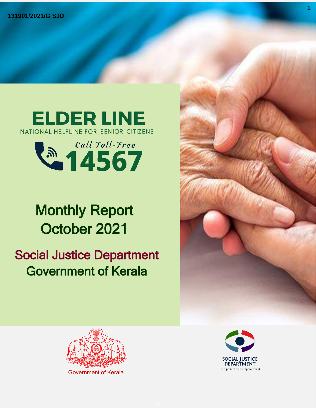



# Monthly Report October 2021 ''

# Social Justice Department Government of Kerala





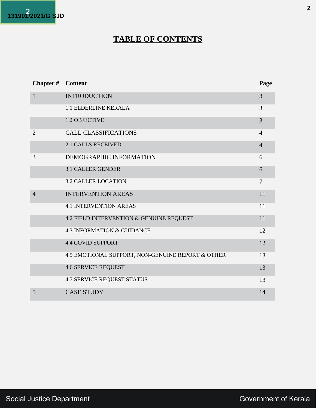

# **TABLE OF CONTENTS**

| Chapter #      | <b>Content</b>                                    | Page           |
|----------------|---------------------------------------------------|----------------|
| $\mathbf{1}$   | <b>INTRODUCTION</b>                               | 3              |
|                | <b>1.1 ELDERLINE KERALA</b>                       | 3              |
|                | 1.2 OBJECTIVE                                     | 3              |
| $\overline{2}$ | <b>CALL CLASSIFICATIONS</b>                       | $\overline{4}$ |
|                | <b>2.1 CALLS RECEIVED</b>                         | $\overline{4}$ |
| 3              | DEMOGRAPHIC INFORMATION                           | 6              |
|                | <b>3.1 CALLER GENDER</b>                          | 6              |
|                | <b>3.2 CALLER LOCATION</b>                        | $\overline{7}$ |
| $\overline{4}$ | <b>INTERVENTION AREAS</b>                         | 11             |
|                | <b>4.1 INTERVENTION AREAS</b>                     | 11             |
|                | 4.2 FIELD INTERVENTION & GENUINE REQUEST          | 11             |
|                | <b>4.3 INFORMATION &amp; GUIDANCE</b>             | 12             |
|                | <b>4.4 COVID SUPPORT</b>                          | 12             |
|                | 4.5 EMOTIONAL SUPPORT, NON-GENUINE REPORT & OTHER | 13             |
|                | <b>4.6 SERVICE REQUEST</b>                        | 13             |
|                | <b>4.7 SERVICE REQUEST STATUS</b>                 | 13             |
| 5              | <b>CASE STUDY</b>                                 | 14             |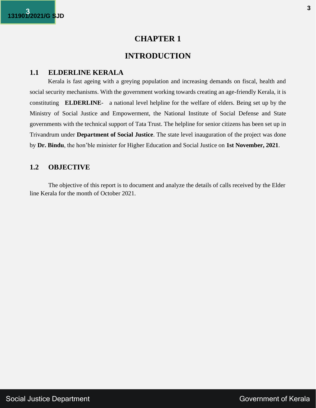### **INTRODUCTION**

#### **1.1 ELDERLINE KERALA**

Kerala is fast ageing with a greying population and increasing demands on fiscal, health and social security mechanisms. With the government working towards creating an age-friendly Kerala, it is constituting **ELDERLINE**- a national level helpline for the welfare of elders. Being set up by the Ministry of Social Justice and Empowerment, the National Institute of Social Defense and State governments with the technical support of Tata Trust. The helpline for senior citizens has been set up in Trivandrum under **Department of Social Justice**. The state level inauguration of the project was done by **Dr. Bindu**, the hon'ble minister for Higher Education and Social Justice on **1st November, 2021**.

#### **1.2 OBJECTIVE**

The objective of this report is to document and analyze the details of calls received by the Elder line Kerala for the month of October 2021.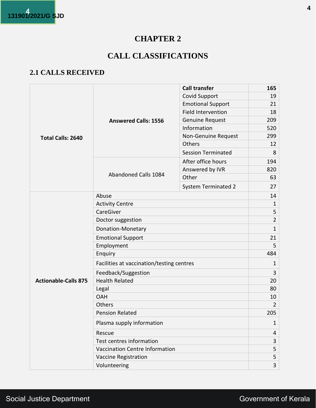# **CALL CLASSIFICATIONS**

# **2.1 CALLS RECEIVED**

|                             |                                           | <b>Call transfer</b>       | 165 |
|-----------------------------|-------------------------------------------|----------------------------|-----|
|                             |                                           | <b>Covid Support</b>       | 19  |
|                             |                                           | <b>Emotional Support</b>   | 21  |
|                             |                                           | <b>Field Intervention</b>  | 18  |
|                             | <b>Answered Calls: 1556</b>               | <b>Genuine Request</b>     | 209 |
|                             |                                           | Information                | 520 |
| Total Calls: 2640           |                                           | Non-Genuine Request        | 299 |
|                             |                                           | Others                     | 12  |
|                             |                                           | <b>Session Terminated</b>  | 8   |
|                             |                                           | After office hours         | 194 |
|                             |                                           | Answered by IVR            | 820 |
|                             | Abandoned Calls 1084                      | Other                      | 63  |
|                             |                                           | <b>System Terminated 2</b> | 27  |
|                             | Abuse                                     |                            | 14  |
|                             | <b>Activity Centre</b>                    | $\mathbf{1}$               |     |
|                             | CareGiver                                 | 5                          |     |
|                             | Doctor suggestion                         | $\overline{2}$             |     |
|                             | Donation-Monetary                         |                            |     |
|                             | <b>Emotional Support</b>                  |                            |     |
|                             | Employment                                |                            |     |
|                             | Enquiry                                   |                            |     |
|                             | Facilities at vaccination/testing centres |                            |     |
|                             | Feedback/Suggestion                       |                            |     |
| <b>Actionable-Calls 875</b> | <b>Health Related</b>                     |                            |     |
|                             | Legal                                     |                            |     |
|                             | <b>OAH</b>                                |                            |     |
|                             | Others                                    |                            |     |
|                             | <b>Pension Related</b>                    |                            |     |
|                             | Plasma supply information                 |                            |     |
|                             | Rescue                                    |                            |     |
|                             | Test centres information                  | 3                          |     |
|                             | Vaccination Centre Information            |                            | 5   |
|                             | <b>Vaccine Registration</b>               |                            | 5   |
|                             | Volunteering                              |                            |     |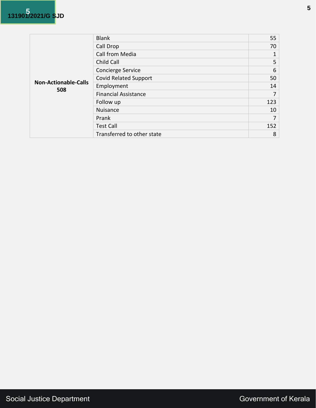|                                    | <b>Blank</b>                 | 55  |
|------------------------------------|------------------------------|-----|
|                                    | Call Drop                    | 70  |
|                                    | Call from Media              |     |
|                                    | Child Call                   | 5   |
|                                    | Concierge Service            | 6   |
|                                    | <b>Covid Related Support</b> | 50  |
| <b>Non-Actionable-Calls</b><br>508 | Employment                   | 14  |
|                                    | <b>Financial Assistance</b>  | 7   |
|                                    | Follow up                    | 123 |
|                                    | Nuisance                     | 10  |
|                                    | Prank                        | 7   |
|                                    | <b>Test Call</b>             | 152 |
|                                    | Transferred to other state   | 8   |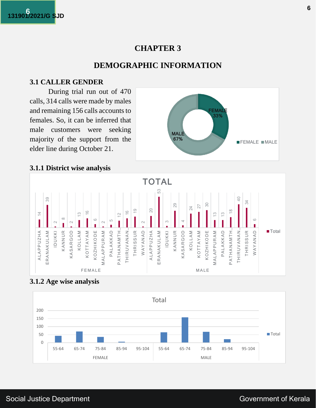## **DEMOGRAPHIC INFORMATION**

#### **3.1 CALLER GENDER**

During trial run out of 470 calls, 314 calls were made by males and remaining 156 calls accounts to females. So, it can be inferred that male customers were seeking majority of the support from the elder line during October 21.



#### **3.1.1 District wise analysis**



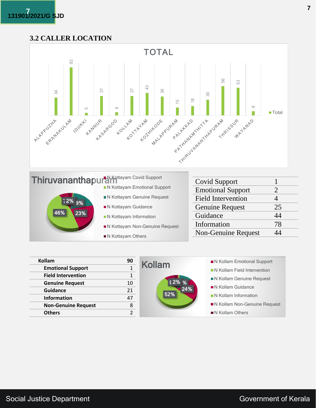#### **3.2 CALLER LOCATION**





| Kollam                     | 90 | <b>Kollam</b> | ■ N Kollam Emotional Support |
|----------------------------|----|---------------|------------------------------|
| <b>Emotional Support</b>   |    |               | N Kollam Field Intervention  |
| <b>Field Intervention</b>  |    |               | N Kollam Genuine Request     |
| <b>Genuine Request</b>     | 10 | $52\%$ %      | ■ N Kollam Guidance          |
| <b>Guidance</b>            | 21 | 24%<br>52%    |                              |
| <b>Information</b>         | 47 |               | N Kollam Information         |
| <b>Non-Genuine Request</b> | 8  |               | N Kollam Non-Genuine Request |
| <b>Others</b>              |    |               | N Kollam Others              |
|                            |    |               |                              |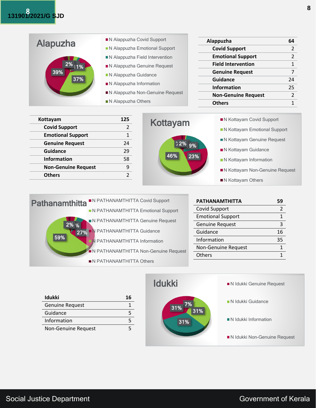| Alapuzha | ■ N Alappuzha Covid Support                                               | Alappuzha                  | 64 |
|----------|---------------------------------------------------------------------------|----------------------------|----|
|          | N Alappuzha Emotional Support                                             | <b>Covid Support</b>       |    |
|          | N Alappuzha Field Intervention                                            | <b>Emotional Support</b>   |    |
| $2\%$ 1% | N Alappuzha Genuine Request                                               | <b>Field Intervention</b>  |    |
| 89%      | N Alappuzha Guidance                                                      | <b>Genuine Request</b>     |    |
| 37%      | $\blacksquare$ N Alappuzha Information<br>N Alappuzha Non-Genuine Request | <b>Guidance</b>            | 24 |
|          |                                                                           | <b>Information</b>         | 25 |
|          |                                                                           | <b>Non-Genuine Request</b> |    |
|          | $\blacksquare$ N Alappuzha Others                                         | <b>Others</b>              |    |

| Kottayam                   | 125           |
|----------------------------|---------------|
| <b>Covid Support</b>       | $\mathcal{P}$ |
| <b>Emotional Support</b>   | 1             |
| <b>Genuine Request</b>     | 24            |
| Guidance                   | 29            |
| <b>Information</b>         | 58            |
| <b>Non-Genuine Request</b> |               |
| <b>Others</b>              | 2             |



| ■ N Kottayam Covid Support       |
|----------------------------------|
| N Kottayam Emotional Support     |
| ■ N Kottayam Genuine Request     |
| N Kottayam Guidance              |
| N Kottayam Information           |
| ■ N Kottayam Non-Genuine Request |
| ■ N Kottayam Others              |

| N PATHANAMTHITTA Covid Support<br><b>Pathanamthitta</b> | <b>PATHANAMTHITTA</b>    | 59 |
|---------------------------------------------------------|--------------------------|----|
| N PATHANAMTHITTA Emotional Support                      | <b>Covid Support</b>     |    |
| N PATHANAMTHITTA Genuine Request                        | <b>Emotional Support</b> |    |
| $2\%$ %                                                 | <b>Genuine Request</b>   |    |
| N PATHANAMTHITTA Guidance<br>27%                        | Guidance                 | 16 |
| 59%<br>N PATHANAMTHITTA Information                     | Information              | 35 |
| N PATHANAMTHITTA Non-Genuine Request                    | Non-Genuine Request      |    |
|                                                         | Others                   |    |
| N PATHANAMTHITTA Others                                 |                          |    |

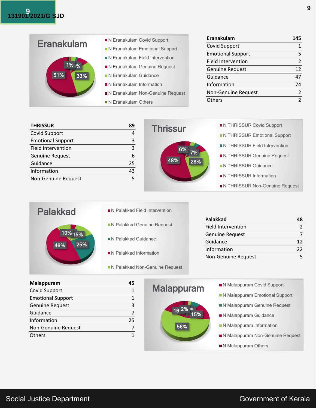|                   | N Eranakulam Covid Support         | Eranakulam                | 145 |
|-------------------|------------------------------------|---------------------------|-----|
| <b>Eranakulam</b> | N Eranakulam Emotional Support     | <b>Covid Support</b>      |     |
|                   |                                    | <b>Emotional Support</b>  |     |
| $1\%$ %           | N Eranakulam Field Intervention    | <b>Field Intervention</b> |     |
|                   | N Eranakulam Genuine Request       | <b>Genuine Request</b>    | 12  |
| 33%<br>51%        | N Eranakulam Guidance              | Guidance                  | 47  |
|                   | ■ N Eranakulam Information         | Information               | 74  |
|                   | N Eranakulam Non-Genuine Request   | Non-Genuine Request       |     |
|                   | $\blacksquare$ N Eranakulam Others | <b>Others</b>             |     |

| <b>THRISSUR</b>           | 89 | <b>Thrissur</b> | N THRISSUR Covid Support       |
|---------------------------|----|-----------------|--------------------------------|
| Covid Support             |    |                 | N THRISSUR Emotional Support   |
| <b>Emotional Support</b>  |    |                 |                                |
| <b>Field Intervention</b> |    |                 | N THRISSUR Field Intervention  |
| <b>Genuine Request</b>    | 6  |                 | N THRISSUR Genuine Request     |
| Guidance                  | 25 | 48%<br>28%      | <b>N THRISSUR Guidance</b>     |
| Information               | 43 |                 |                                |
| Non-Genuine Request       |    |                 | N THRISSUR Information         |
|                           |    |                 | N THRISSUR Non-Genuine Request |

| <b>Palakkad</b>       |  |
|-----------------------|--|
|                       |  |
| 10% 15%<br>25%<br>46% |  |
|                       |  |
|                       |  |

- **N Palakkad Field Intervention**
- N Palakkad Genuine Request
- N Palakkad Guidance
- N Palakkad Information
- N Palakkad Non-Genuine Request

| Palakkad                  | 48 |
|---------------------------|----|
| <b>Field Intervention</b> |    |
| <b>Genuine Request</b>    |    |
| Guidance                  | 12 |
| Information               | 22 |
| Non-Genuine Request       |    |

| Malappuram               | 45 |
|--------------------------|----|
| <b>Covid Support</b>     |    |
| <b>Emotional Support</b> |    |
| <b>Genuine Request</b>   | 3  |
| Guidance                 |    |
| Information              | 25 |
| Non-Genuine Request      |    |
| Others                   |    |

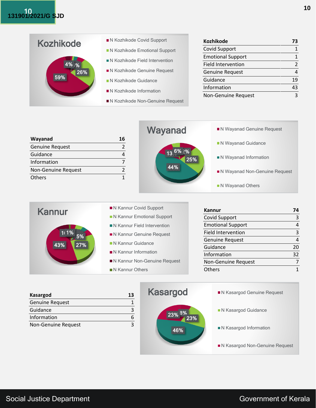

| <b>Kozhikode</b>           | 73            |
|----------------------------|---------------|
| <b>Covid Support</b>       | 1             |
| <b>Emotional Support</b>   | 1             |
| <b>Field Intervention</b>  | $\mathfrak z$ |
| <b>Genuine Request</b>     |               |
| Guidance                   | 19            |
| Information                | 43            |
| <b>Non-Genuine Request</b> |               |

|                            | Wayanad         | N Wayanad Genuine Request     |
|----------------------------|-----------------|-------------------------------|
| Wayanad<br>16              |                 | N Wayanad Guidance            |
| <b>Genuine Request</b>     |                 |                               |
| Guidance<br>4              | 13 6% 2%<br>25% | N Wayanad Information         |
| Information                |                 |                               |
| <b>Non-Genuine Request</b> | 44%             | N Wayanad Non-Genuine Request |
| <b>Others</b>              |                 |                               |
|                            |                 | N Wayanad Others              |



| <b>Kasargod</b>        | 13 |
|------------------------|----|
| <b>Genuine Request</b> |    |
| Guidance               |    |
| Information            |    |
| Non-Genuine Request    |    |

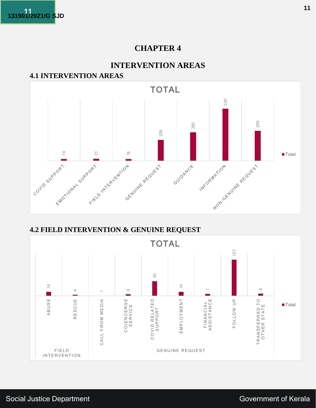

### **INTERVENTION AREAS**

# **4.1 INTERVENTION AREAS**



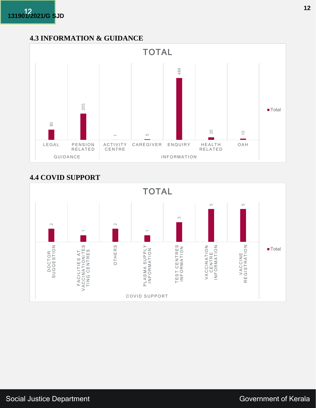# **4.3 INFORMATION & GUIDANCE**



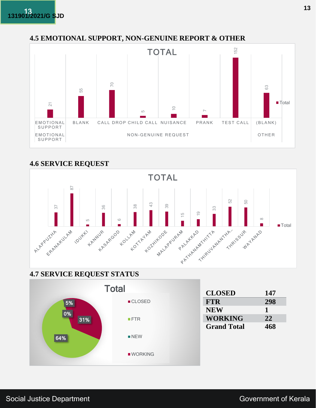#### **4.5 EMOTIONAL SUPPORT, NON-GENUINE REPORT & OTHER**



#### **4.6 SERVICE REQUEST**



### **4.7 SERVICE REQUEST STATUS**



| <b>CLOSED</b>      | 147 |
|--------------------|-----|
| <b>FTR</b>         | 298 |
| <b>NEW</b>         | 1   |
| <b>WORKING</b>     | 22  |
| <b>Grand Total</b> | 468 |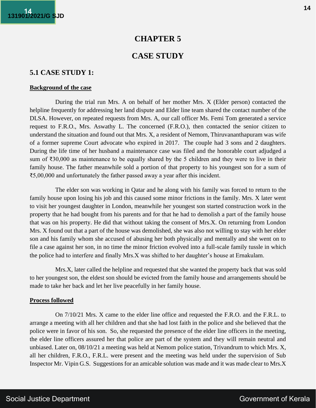### **CASE STUDY**

#### **5.1 CASE STUDY 1:**

#### **Background of the case**

During the trial run Mrs. A on behalf of her mother Mrs. X (Elder person) contacted the helpline frequently for addressing her land dispute and Elder line team shared the contact number of the DLSA. However, on repeated requests from Mrs. A, our call officer Ms. Femi Tom generated a service request to F.R.O., Mrs. Aswathy L. The concerned (F.R.O.), then contacted the senior citizen to understand the situation and found out that Mrs. X, a resident of Nemom, Thiruvananthapuram was wife of a former supreme Court advocate who expired in 2017. The couple had 3 sons and 2 daughters. During the life time of her husband a maintenance case was filed and the honorable court adjudged a sum of ₹30,000 as maintenance to be equally shared by the 5 children and they were to live in their family house. The father meanwhile sold a portion of that property to his youngest son for a sum of ₹5,00,000 and unfortunately the father passed away a year after this incident.

The elder son was working in Qatar and he along with his family was forced to return to the family house upon losing his job and this caused some minor frictions in the family. Mrs. X later went to visit her youngest daughter in London, meanwhile her youngest son started construction work in the property that he had bought from his parents and for that he had to demolish a part of the family house that was on his property. He did that without taking the consent of Mrs.X. On returning from London Mrs. X found out that a part of the house was demolished, she was also not willing to stay with her elder son and his family whom she accused of abusing her both physically and mentally and she went on to file a case against her son, in no time the minor friction evolved into a full-scale family tussle in which the police had to interfere and finally Mrs.X was shifted to her daughter's house at Ernakulam.

Mrs.X, later called the helpline and requested that she wanted the property back that was sold to her youngest son, the eldest son should be evicted from the family house and arrangements should be made to take her back and let her live peacefully in her family house.

#### **Process followed**

On 7/10/21 Mrs. X came to the elder line office and requested the F.R.O. and the F.R.L. to arrange a meeting with all her children and that she had lost faith in the police and she believed that the police were in favor of his son. So, she requested the presence of the elder line officers in the meeting, the elder line officers assured her that police are part of the system and they will remain neutral and unbiased. Later on, 08/10/21 a meeting was held at Nemom police station, Trivandrum to which Mrs. X, all her children, F.R.O., F.R.L. were present and the meeting was held under the supervision of Sub Inspector Mr. Vipin G.S. Suggestions for an amicable solution was made and it was made clear to Mrs.X